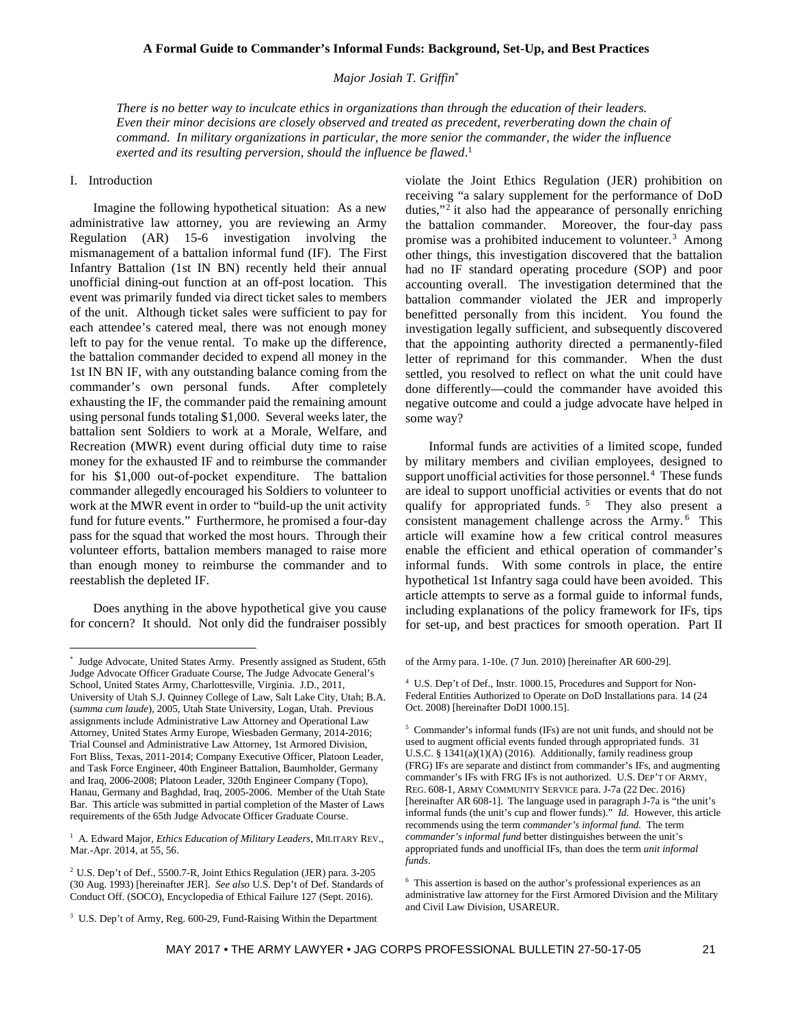### **A Formal Guide to Commander's Informal Funds: Background, Set-Up, and Best Practices**

*Major Josiah T. Griffin*\*

*There is no better way to inculcate ethics in organizations than through the education of their leaders. Even their minor decisions are closely observed and treated as precedent, reverberating down the chain of command. In military organizations in particular, the more senior the commander, the wider the influence exerted and its resulting perversion, should the influence be flawed*. 1

#### I. Introduction

Imagine the following hypothetical situation: As a new administrative law attorney, you are reviewing an Army Regulation (AR) 15-6 investigation involving the mismanagement of a battalion informal fund (IF). The First Infantry Battalion (1st IN BN) recently held their annual unofficial dining-out function at an off-post location. This event was primarily funded via direct ticket sales to members of the unit. Although ticket sales were sufficient to pay for each attendee's catered meal, there was not enough money left to pay for the venue rental. To make up the difference, the battalion commander decided to expend all money in the 1st IN BN IF, with any outstanding balance coming from the commander's own personal funds. After completely exhausting the IF, the commander paid the remaining amount using personal funds totaling \$1,000. Several weeks later, the battalion sent Soldiers to work at a Morale, Welfare, and Recreation (MWR) event during official duty time to raise money for the exhausted IF and to reimburse the commander for his \$1,000 out-of-pocket expenditure. The battalion commander allegedly encouraged his Soldiers to volunteer to work at the MWR event in order to "build-up the unit activity fund for future events." Furthermore, he promised a four-day pass for the squad that worked the most hours. Through their volunteer efforts, battalion members managed to raise more than enough money to reimburse the commander and to reestablish the depleted IF.

Does anything in the above hypothetical give you cause for concern? It should. Not only did the fundraiser possibly

<sup>1</sup> A. Edward Major, *Ethics Education of Military Leaders*, MILITARY REV., Mar.-Apr. 2014, at 55, 56.

violate the Joint Ethics Regulation (JER) prohibition on receiving "a salary supplement for the performance of DoD duties,"[2](#page-0-0) it also had the appearance of personally enriching the battalion commander. Moreover, the four-day pass promise was a prohibited inducement to volunteer.<sup>[3](#page-0-1)</sup> Among other things, this investigation discovered that the battalion had no IF standard operating procedure (SOP) and poor accounting overall. The investigation determined that the battalion commander violated the JER and improperly benefitted personally from this incident. You found the investigation legally sufficient, and subsequently discovered that the appointing authority directed a permanently-filed letter of reprimand for this commander. When the dust settled, you resolved to reflect on what the unit could have done differently—could the commander have avoided this negative outcome and could a judge advocate have helped in some way?

Informal funds are activities of a limited scope, funded by military members and civilian employees, designed to support unofficial activities for those personnel. [4](#page-0-2) These funds are ideal to support unofficial activities or events that do not qualify for appropriated funds.<sup>[5](#page-0-3)</sup> They also present a consistent management challenge across the Army. [6](#page-0-4) This article will examine how a few critical control measures enable the efficient and ethical operation of commander's informal funds. With some controls in place, the entire hypothetical 1st Infantry saga could have been avoided. This article attempts to serve as a formal guide to informal funds, including explanations of the policy framework for IFs, tips for set-up, and best practices for smooth operation. Part II

<span id="page-0-3"></span><span id="page-0-2"></span><span id="page-0-0"></span>Judge Advocate, United States Army. Presently assigned as Student, 65th Judge Advocate Officer Graduate Course, The Judge Advocate General's School, United States Army, Charlottesville, Virginia. J.D., 2011, University of Utah S.J. Quinney College of Law, Salt Lake City, Utah; B.A. (*summa cum laude*), 2005, Utah State University, Logan, Utah. Previous assignments include Administrative Law Attorney and Operational Law Attorney, United States Army Europe, Wiesbaden Germany, 2014-2016; Trial Counsel and Administrative Law Attorney, 1st Armored Division, Fort Bliss, Texas, 2011-2014; Company Executive Officer, Platoon Leader, and Task Force Engineer, 40th Engineer Battalion, Baumholder, Germany and Iraq, 2006-2008; Platoon Leader, 320th Engineer Company (Topo), Hanau, Germany and Baghdad, Iraq, 2005-2006. Member of the Utah State Bar. This article was submitted in partial completion of the Master of Laws requirements of the 65th Judge Advocate Officer Graduate Course.

<span id="page-0-4"></span><sup>2</sup> U.S. Dep't of Def., 5500.7-R, Joint Ethics Regulation (JER) para. 3-205 (30 Aug. 1993) [hereinafter JER]. *See also* U.S. Dep't of Def. Standards of Conduct Off. (SOCO), Encyclopedia of Ethical Failure 127 (Sept. 2016).

<span id="page-0-1"></span><sup>&</sup>lt;sup>3</sup> U.S. Dep't of Army, Reg. 600-29, Fund-Raising Within the Department

of the Army para. 1-10e. (7 Jun. 2010) [hereinafter AR 600-29].

<sup>4</sup> U.S. Dep't of Def., Instr. 1000.15, Procedures and Support for Non-Federal Entities Authorized to Operate on DoD Installations para. 14 (24 Oct. 2008) [hereinafter DoDI 1000.15].

<sup>5</sup> Commander's informal funds (IFs) are not unit funds, and should not be used to augment official events funded through appropriated funds. 31 U.S.C. § 1341(a)(1)(A) (2016). Additionally, family readiness group (FRG) IFs are separate and distinct from commander's IFs, and augmenting commander's IFs with FRG IFs is not authorized. U.S. DEP'T OF ARMY, REG. 608-1, ARMY COMMUNITY SERVICE para. J-7a (22 Dec. 2016) [hereinafter AR 608-1]. The language used in paragraph J-7a is "the unit's informal funds (the unit's cup and flower funds)." *Id.* However, this article recommends using the term *commander's informal fund.* The term *commander's informal fund* better distinguishes between the unit's appropriated funds and unofficial IFs, than does the term *unit informal funds*.

<sup>6</sup> This assertion is based on the author's professional experiences as an administrative law attorney for the First Armored Division and the Military and Civil Law Division, USAREUR.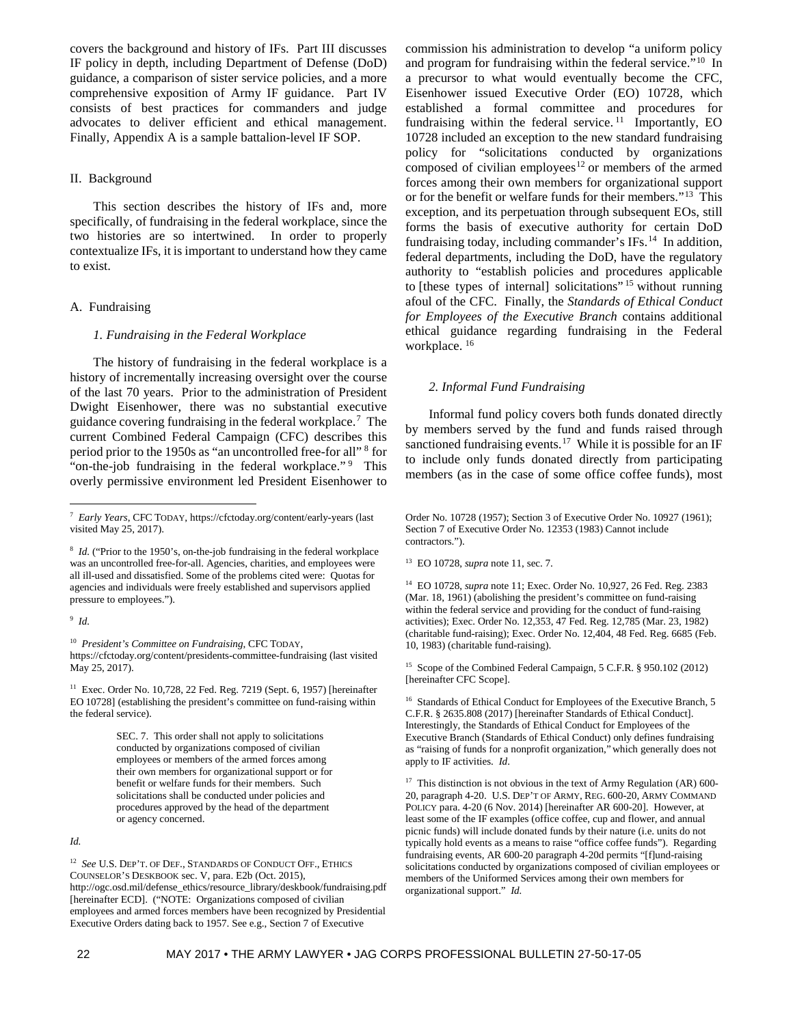covers the background and history of IFs. Part III discusses IF policy in depth, including Department of Defense (DoD) guidance, a comparison of sister service policies, and a more comprehensive exposition of Army IF guidance. Part IV consists of best practices for commanders and judge advocates to deliver efficient and ethical management. Finally, Appendix A is a sample battalion-level IF SOP.

## II. Background

This section describes the history of IFs and, more specifically, of fundraising in the federal workplace, since the two histories are so intertwined. In order to properly contextualize IFs, it is important to understand how they came to exist.

### A. Fundraising

#### *1. Fundraising in the Federal Workplace*

The history of fundraising in the federal workplace is a history of incrementally increasing oversight over the course of the last 70 years. Prior to the administration of President Dwight Eisenhower, there was no substantial executive guidance covering fundraising in the federal workplace.<sup>[7](#page-1-0)</sup> The current Combined Federal Campaign (CFC) describes this period prior to the 1950s as "an uncontrolled free-for all" [8](#page-1-1) for "on-the-job fundraising in the federal workplace."<sup>[9](#page-1-2)</sup> This overly permissive environment led President Eisenhower to

<span id="page-1-2"></span>9 *Id.*

<span id="page-1-3"></span>10 *President's Committee on Fundraising*, CFC TODAY, https://cfctoday.org/content/presidents-committee-fundraising (last visited May 25, 2017).

<span id="page-1-9"></span><span id="page-1-8"></span><span id="page-1-4"></span><sup>11</sup> Exec. Order No. 10,728, 22 Fed. Reg. 7219 (Sept. 6, 1957) [hereinafter EO 10728] (establishing the president's committee on fund-raising within the federal service).

> SEC. 7. This order shall not apply to solicitations conducted by organizations composed of civilian employees or members of the armed forces among their own members for organizational support or for benefit or welfare funds for their members. Such solicitations shall be conducted under policies and procedures approved by the head of the department or agency concerned.

<span id="page-1-10"></span>*Id.*

<span id="page-1-5"></span>12 *See* U.S. DEP'T. OF DEF., STANDARDS OF CONDUCT OFF., ETHICS COUNSELOR'S DESKBOOK sec. V, para. E2b (Oct. 2015), http://ogc.osd.mil/defense\_ethics/resource\_library/deskbook/fundraising.pdf [hereinafter ECD]. ("NOTE: Organizations composed of civilian employees and armed forces members have been recognized by Presidential Executive Orders dating back to 1957. See e.g., Section 7 of Executive

commission his administration to develop "a uniform policy and program for fundraising within the federal service."[10](#page-1-3) In a precursor to what would eventually become the CFC, Eisenhower issued Executive Order (EO) 10728, which established a formal committee and procedures for fundraising within the federal service.<sup>[11](#page-1-4)</sup> Importantly, EO 10728 included an exception to the new standard fundraising policy for "solicitations conducted by organizations composed of civilian employees<sup>[12](#page-1-5)</sup> or members of the armed forces among their own members for organizational support or for the benefit or welfare funds for their members."[13](#page-1-6) This exception, and its perpetuation through subsequent EOs, still forms the basis of executive authority for certain DoD fundraising today, including commander's IFs.[14](#page-1-7) In addition, federal departments, including the DoD, have the regulatory authority to "establish policies and procedures applicable to [these types of internal] solicitations" <sup>[15](#page-1-8)</sup> without running afoul of the CFC. Finally, the *Standards of Ethical Conduct for Employees of the Executive Branch* contains additional ethical guidance regarding fundraising in the Federal workplace.<sup>[16](#page-1-9)</sup>

### *2. Informal Fund Fundraising*

Informal fund policy covers both funds donated directly by members served by the fund and funds raised through sanctioned fundraising events.<sup>17</sup> While it is possible for an IF to include only funds donated directly from participating members (as in the case of some office coffee funds), most

Order No. 10728 (1957); Section 3 of Executive Order No. 10927 (1961); Section 7 of Executive Order No. 12353 (1983) Cannot include contractors.").

13 EO 10728, *supra* note 11, sec. 7.

14 EO 10728, *supra* note 11; Exec. Order No. 10,927, 26 Fed. Reg. 2383 (Mar. 18, 1961) (abolishing the president's committee on fund-raising within the federal service and providing for the conduct of fund-raising activities); Exec. Order No. 12,353, 47 Fed. Reg. 12,785 (Mar. 23, 1982) (charitable fund-raising); Exec. Order No. 12,404, 48 Fed. Reg. 6685 (Feb. 10, 1983) (charitable fund-raising).

<sup>15</sup> Scope of the Combined Federal Campaign, 5 C.F.R. § 950.102 (2012) [hereinafter CFC Scope].

<sup>16</sup> Standards of Ethical Conduct for Employees of the Executive Branch, 5 C.F.R. § 2635.808 (2017) [hereinafter Standards of Ethical Conduct]. Interestingly, the Standards of Ethical Conduct for Employees of the Executive Branch (Standards of Ethical Conduct) only defines fundraising as "raising of funds for a nonprofit organization," which generally does not apply to IF activities. *Id*.

<sup>17</sup> This distinction is not obvious in the text of Army Regulation (AR) 600-20, paragraph 4-20. U.S. DEP'T OF ARMY, REG. 600-20, ARMY COMMAND POLICY para. 4-20 (6 Nov. 2014) [hereinafter AR 600-20]. However, at least some of the IF examples (office coffee, cup and flower, and annual picnic funds) will include donated funds by their nature (i.e. units do not typically hold events as a means to raise "office coffee funds"). Regarding fundraising events, AR 600-20 paragraph 4-20d permits "[f]und-raising solicitations conducted by organizations composed of civilian employees or members of the Uniformed Services among their own members for organizational support." *Id.*

<span id="page-1-0"></span><sup>-&</sup>lt;br>7 *Early Years*, CFC TODAY, <https://cfctoday.org/content/early-years> (last visited May 25, 2017).

<span id="page-1-7"></span><span id="page-1-6"></span><span id="page-1-1"></span><sup>&</sup>lt;sup>8</sup> *Id.* ("Prior to the 1950's, on-the-job fundraising in the federal workplace was an uncontrolled free-for-all. Agencies, charities, and employees were all ill-used and dissatisfied. Some of the problems cited were: Quotas for agencies and individuals were freely established and supervisors applied pressure to employees.").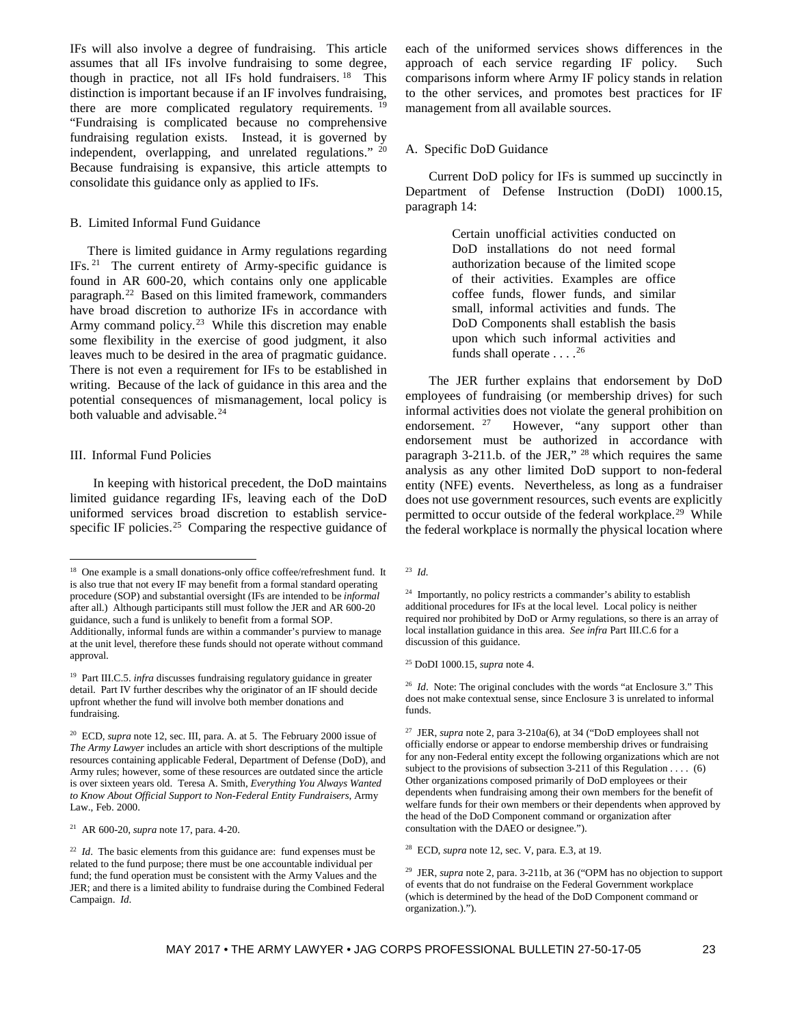IFs will also involve a degree of fundraising. This article assumes that all IFs involve fundraising to some degree, though in practice, not all IFs hold fundraisers. [18](#page-2-0) This distinction is important because if an IF involves fundraising, there are more complicated regulatory requirements. <sup>19</sup> "Fundraising is complicated because no comprehensive fundraising regulation exists. Instead, it is governed by independent, overlapping, and unrelated regulations." [20](#page-2-2)  Because fundraising is expansive, this article attempts to consolidate this guidance only as applied to IFs.

## B. Limited Informal Fund Guidance

There is limited guidance in Army regulations regarding IFs. [21](#page-2-3) The current entirety of Army-specific guidance is found in AR 600-20, which contains only one applicable paragraph.[22](#page-2-4) Based on this limited framework, commanders have broad discretion to authorize IFs in accordance with Army command policy. [23](#page-2-0) While this discretion may enable some flexibility in the exercise of good judgment, it also leaves much to be desired in the area of pragmatic guidance. There is not even a requirement for IFs to be established in writing. Because of the lack of guidance in this area and the potential consequences of mismanagement, local policy is both valuable and advisable.<sup>[24](#page-2-5)</sup>

## III. Informal Fund Policies

In keeping with historical precedent, the DoD maintains limited guidance regarding IFs, leaving each of the DoD uniformed services broad discretion to establish service-specific IF policies.<sup>[25](#page-2-6)</sup> Comparing the respective guidance of

<span id="page-2-3"></span>21 AR 600-20, *supra* note 17, para. 4-20.

each of the uniformed services shows differences in the approach of each service regarding IF policy. Such comparisons inform where Army IF policy stands in relation to the other services, and promotes best practices for IF management from all available sources.

### A. Specific DoD Guidance

Current DoD policy for IFs is summed up succinctly in Department of Defense Instruction (DoDI) 1000.15, paragraph 14:

> Certain unofficial activities conducted on DoD installations do not need formal authorization because of the limited scope of their activities. Examples are office coffee funds, flower funds, and similar small, informal activities and funds. The DoD Components shall establish the basis upon which such informal activities and funds shall operate  $\dots$ <sup>[26](#page-2-7)</sup>

The JER further explains that endorsement by DoD employees of fundraising (or membership drives) for such informal activities does not violate the general prohibition on endorsement. <sup>[27](#page-2-8)</sup> However, "any support other than endorsement must be authorized in accordance with paragraph 3-211.b. of the JER," [28](#page-2-9) which requires the same analysis as any other limited DoD support to non-federal entity (NFE) events. Nevertheless, as long as a fundraiser does not use government resources, such events are explicitly permitted to occur outside of the federal workplace.<sup>[29](#page-2-10)</sup> While the federal workplace is normally the physical location where

<sup>26</sup> *Id.* Note: The original concludes with the words "at Enclosure 3." This does not make contextual sense, since Enclosure 3 is unrelated to informal funds.

<span id="page-2-5"></span><span id="page-2-0"></span><sup>&</sup>lt;sup>18</sup> One example is a small donations-only office coffee/refreshment fund. It is also true that not every IF may benefit from a formal standard operating procedure (SOP) and substantial oversight (IFs are intended to be *informal* after all.) Although participants still must follow the JER and AR 600-20 guidance, such a fund is unlikely to benefit from a formal SOP.

Additionally, informal funds are within a commander's purview to manage at the unit level, therefore these funds should not operate without command approval.

<span id="page-2-7"></span><span id="page-2-6"></span><span id="page-2-1"></span><sup>&</sup>lt;sup>19</sup> Part III.C.5. *infra* discusses fundraising regulatory guidance in greater detail. Part IV further describes why the originator of an IF should decide upfront whether the fund will involve both member donations and fundraising.

<span id="page-2-8"></span><span id="page-2-2"></span><sup>&</sup>lt;sup>20</sup> ECD, *supra* note 12, sec. III, para. A. at 5. The February 2000 issue of *The Army Lawyer* includes an article with short descriptions of the multiple resources containing applicable Federal, Department of Defense (DoD), and Army rules; however, some of these resources are outdated since the article is over sixteen years old. Teresa A. Smith, *Everything You Always Wanted to Know About Official Support to Non-Federal Entity Fundraisers*, Army Law., Feb. 2000.

<span id="page-2-10"></span><span id="page-2-9"></span><span id="page-2-4"></span> $22$  *Id*. The basic elements from this guidance are: fund expenses must be related to the fund purpose; there must be one accountable individual per fund; the fund operation must be consistent with the Army Values and the JER; and there is a limited ability to fundraise during the Combined Federal Campaign. *Id*.

<sup>23</sup> *Id.*

 $24$  Importantly, no policy restricts a commander's ability to establish additional procedures for IFs at the local level. Local policy is neither required nor prohibited by DoD or Army regulations, so there is an array of local installation guidance in this area. *See infra* Part III.C.6 for a discussion of this guidance.

<sup>25</sup> DoDI 1000.15, *supra* note 4.

<sup>27</sup> JER, *supra* note 2, para 3-210a(6), at 34 ("DoD employees shall not officially endorse or appear to endorse membership drives or fundraising for any non-Federal entity except the following organizations which are not subject to the provisions of subsection  $3-211$  of this Regulation . . . . (6) Other organizations composed primarily of DoD employees or their dependents when fundraising among their own members for the benefit of welfare funds for their own members or their dependents when approved by the head of the DoD Component command or organization after consultation with the DAEO or designee.").

<sup>28</sup> ECD, *supra* note 12, sec. V, para. E.3, at 19.

<sup>29</sup> JER, *supra* note 2, para. 3-211b, at 36 ("OPM has no objection to support of events that do not fundraise on the Federal Government workplace (which is determined by the head of the DoD Component command or organization.).").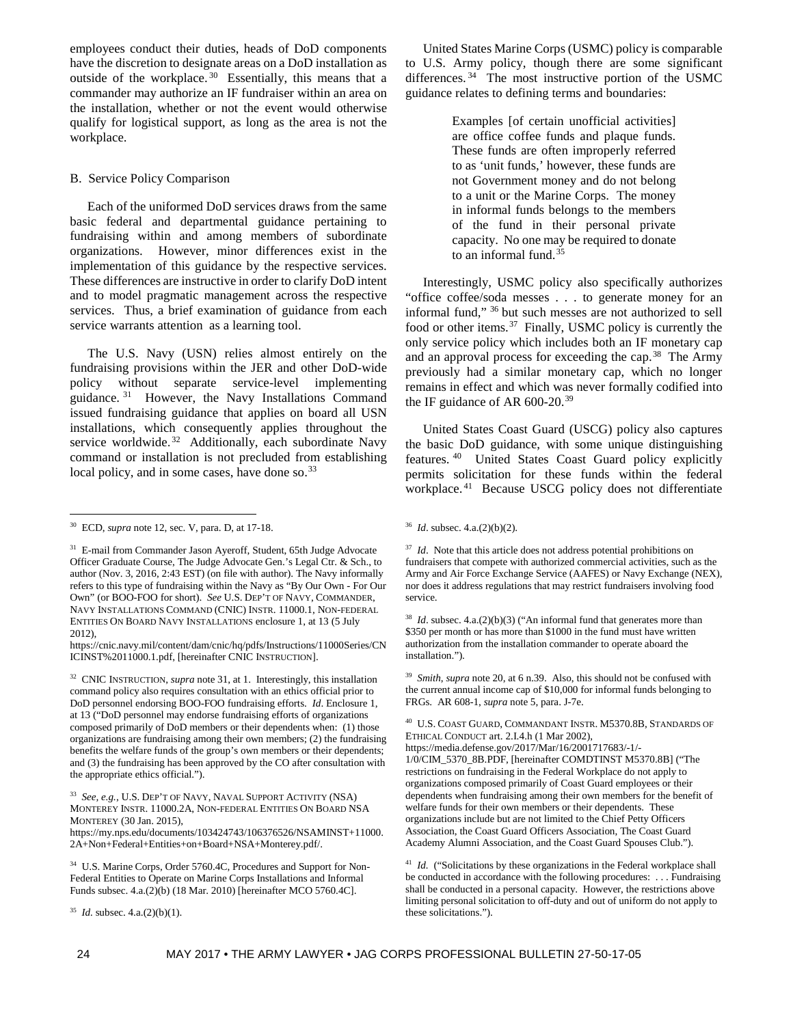employees conduct their duties, heads of DoD components have the discretion to designate areas on a DoD installation as outside of the workplace.<sup>[30](#page-3-0)</sup> Essentially, this means that a commander may authorize an IF fundraiser within an area on the installation, whether or not the event would otherwise qualify for logistical support, as long as the area is not the workplace.

# B. Service Policy Comparison

Each of the uniformed DoD services draws from the same basic federal and departmental guidance pertaining to fundraising within and among members of subordinate organizations. However, minor differences exist in the implementation of this guidance by the respective services. These differences are instructive in order to clarify DoD intent and to model pragmatic management across the respective services. Thus, a brief examination of guidance from each service warrants attention as a learning tool.

The U.S. Navy (USN) relies almost entirely on the fundraising provisions within the JER and other DoD-wide policy without separate service-level implementing guidance. [31](#page-3-1) However, the Navy Installations Command issued fundraising guidance that applies on board all USN installations, which consequently applies throughout the service worldwide.<sup>[32](#page-3-2)</sup> Additionally, each subordinate Navy command or installation is not precluded from establishing local policy, and in some cases, have done so.<sup>[33](#page-3-3)</sup>

<span id="page-3-8"></span><span id="page-3-7"></span><span id="page-3-2"></span><sup>32</sup> CNIC INSTRUCTION, *supra* note 31, at 1. Interestingly, this installation command policy also requires consultation with an ethics official prior to DoD personnel endorsing BOO-FOO fundraising efforts. *Id*. Enclosure 1, at 13 ("DoD personnel may endorse fundraising efforts of organizations composed primarily of DoD members or their dependents when: (1) those organizations are fundraising among their own members; (2) the fundraising benefits the welfare funds of the group's own members or their dependents; and (3) the fundraising has been approved by the CO after consultation with the appropriate ethics official.").

<span id="page-3-9"></span><span id="page-3-4"></span>34 U.S. Marine Corps, Order 5760.4C, Procedures and Support for Non-Federal Entities to Operate on Marine Corps Installations and Informal Funds subsec. 4.a.(2)(b) (18 Mar. 2010) [hereinafter MCO 5760.4C].

United States Marine Corps (USMC) policy is comparable to U.S. Army policy, though there are some significant differences.<sup>[34](#page-3-4)</sup> The most instructive portion of the USMC guidance relates to defining terms and boundaries:

> Examples [of certain unofficial activities] are office coffee funds and plaque funds. These funds are often improperly referred to as 'unit funds,' however, these funds are not Government money and do not belong to a unit or the Marine Corps. The money in informal funds belongs to the members of the fund in their personal private capacity. No one may be required to donate to an informal fund.[35](#page-3-5)

Interestingly, USMC policy also specifically authorizes "office coffee/soda messes . . . to generate money for an informal fund," [36](#page-3-0) but such messes are not authorized to sell food or other items.[37](#page-3-1) Finally, USMC policy is currently the only service policy which includes both an IF monetary cap and an approval process for exceeding the cap.<sup>38</sup> The Army previously had a similar monetary cap, which no longer remains in effect and which was never formally codified into the IF guidance of AR 600-20.<sup>[39](#page-3-7)</sup>

United States Coast Guard (USCG) policy also captures the basic DoD guidance, with some unique distinguishing features. [40](#page-3-8) United States Coast Guard policy explicitly permits solicitation for these funds within the federal workplace. [41](#page-3-9) Because USCG policy does not differentiate

<sup>37</sup> *Id*. Note that this article does not address potential prohibitions on fundraisers that compete with authorized commercial activities, such as the Army and Air Force Exchange Service (AAFES) or Navy Exchange (NEX), nor does it address regulations that may restrict fundraisers involving food service.

<sup>38</sup> *Id.* subsec. 4.a.(2)(b)(3) ("An informal fund that generates more than \$350 per month or has more than \$1000 in the fund must have written authorization from the installation commander to operate aboard the installation.").

39 *Smith*, *supra* note 20, at 6 n.39. Also, this should not be confused with the current annual income cap of \$10,000 for informal funds belonging to FRGs. AR 608-1, *supra* note 5, para. J-7e.

40 U.S. COAST GUARD, COMMANDANT INSTR. M5370.8B, STANDARDS OF ETHICAL CONDUCT art. 2.I.4.h (1 Mar 2002), https://media.defense.gov/2017/Mar/16/2001717683/-1/- 1/0/CIM\_5370\_8B.PDF, [hereinafter COMDTINST M5370.8B] ("The restrictions on fundraising in the Federal Workplace do not apply to organizations composed primarily of Coast Guard employees or their dependents when fundraising among their own members for the benefit of welfare funds for their own members or their dependents. These organizations include but are not limited to the Chief Petty Officers Association, the Coast Guard Officers Association, The Coast Guard Academy Alumni Association, and the Coast Guard Spouses Club.").

<span id="page-3-0"></span> <sup>30</sup> ECD, *supra* note 12, sec. V, para. D, at 17-18.

<span id="page-3-1"></span><sup>&</sup>lt;sup>31</sup> E-mail from Commander Jason Ayeroff, Student, 65th Judge Advocate Officer Graduate Course, The Judge Advocate Gen.'s Legal Ctr. & Sch., to author (Nov. 3, 2016, 2:43 EST) (on file with author). The Navy informally refers to this type of fundraising within the Navy as "By Our Own - For Our Own" (or BOO-FOO for short). *See* U.S. DEP'T OF NAVY, COMMANDER, NAVY INSTALLATIONS COMMAND (CNIC) INSTR. 11000.1, NON-FEDERAL ENTITIES ON BOARD NAVY INSTALLATIONS enclosure 1, at 13 (5 July 2012),

<span id="page-3-6"></span>https://cnic.navy.mil/content/dam/cnic/hq/pdfs/Instructions/11000Series/CN ICINST%2011000.1.pdf, [hereinafter CNIC INSTRUCTION].

<span id="page-3-3"></span><sup>33</sup> *See, e.g.*, U.S. DEP'T OF NAVY, NAVAL SUPPORT ACTIVITY (NSA) MONTEREY INSTR. 11000.2A, NON-FEDERAL ENTITIES ON BOARD NSA MONTEREY (30 Jan. 2015),

https://my.nps.edu/documents/103424743/106376526/NSAMINST+11000. 2A+Non+Federal+Entities+on+Board+NSA+Monterey.pdf/.

<span id="page-3-5"></span><sup>35</sup> *Id.* subsec. 4.a.(2)(b)(1).

<sup>36</sup> *Id*. subsec. 4.a.(2)(b)(2).

<sup>&</sup>lt;sup>41</sup> *Id.* ("Solicitations by these organizations in the Federal workplace shall be conducted in accordance with the following procedures: . . . Fundraising shall be conducted in a personal capacity. However, the restrictions above limiting personal solicitation to off-duty and out of uniform do not apply to these solicitations.").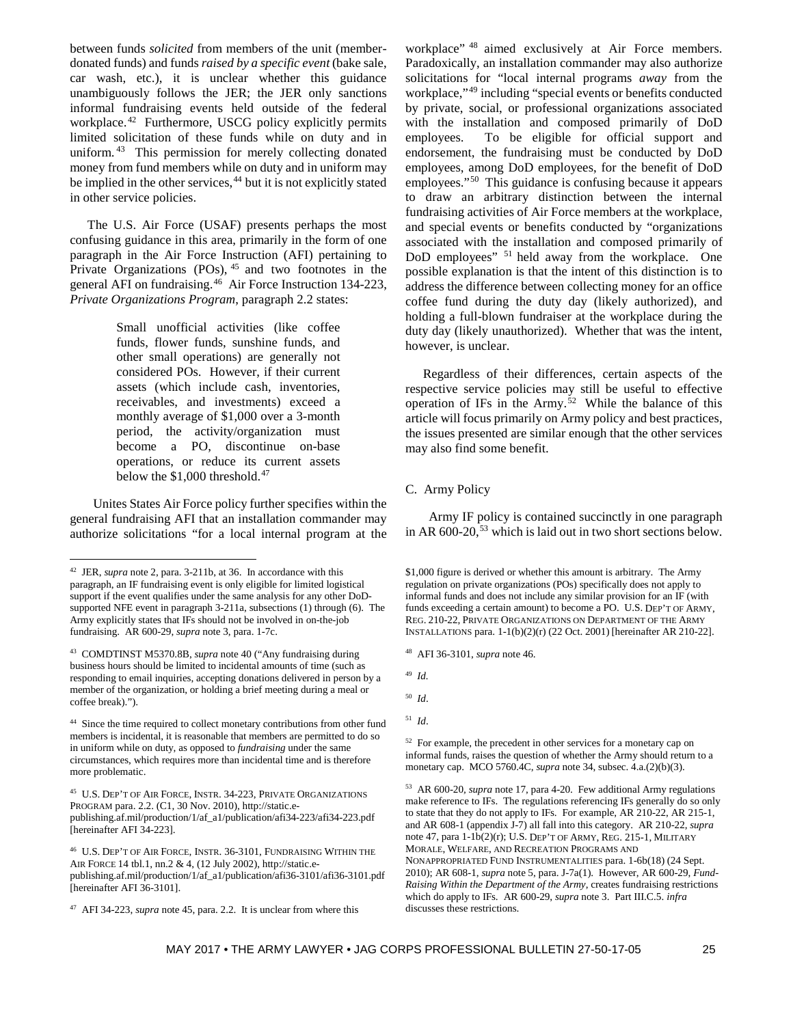between funds *solicited* from members of the unit (memberdonated funds) and funds *raised by a specific event* (bake sale, car wash, etc.), it is unclear whether this guidance unambiguously follows the JER; the JER only sanctions informal fundraising events held outside of the federal workplace.<sup>[42](#page-4-0)</sup> Furthermore, USCG policy explicitly permits limited solicitation of these funds while on duty and in uniform. [43](#page-4-1) This permission for merely collecting donated money from fund members while on duty and in uniform may be implied in the other services,<sup>[44](#page-4-2)</sup> but it is not explicitly stated in other service policies.

The U.S. Air Force (USAF) presents perhaps the most confusing guidance in this area, primarily in the form of one paragraph in the Air Force Instruction (AFI) pertaining to Private Organizations  $(POS)$ ,  $45$  and two footnotes in the general AFI on fundraising.<sup>[46](#page-4-4)</sup> Air Force Instruction 134-223, *Private Organizations Program*, paragraph 2.2 states:

> Small unofficial activities (like coffee funds, flower funds, sunshine funds, and other small operations) are generally not considered POs. However, if their current assets (which include cash, inventories, receivables, and investments) exceed a monthly average of \$1,000 over a 3-month period, the activity/organization must become a PO, discontinue on-base operations, or reduce its current assets below the \$1,000 threshold.<sup>[47](#page-4-5)</sup>

Unites States Air Force policy further specifies within the general fundraising AFI that an installation commander may authorize solicitations "for a local internal program at the workplace" [48](#page-4-1) aimed exclusively at Air Force members. Paradoxically, an installation commander may also authorize solicitations for "local internal programs *away* from the workplace,"[49](#page-4-6) including "special events or benefits conducted by private, social, or professional organizations associated with the installation and composed primarily of DoD employees. To be eligible for official support and endorsement, the fundraising must be conducted by DoD employees, among DoD employees, for the benefit of DoD employees."<sup>[50](#page-4-7)</sup> This guidance is confusing because it appears to draw an arbitrary distinction between the internal fundraising activities of Air Force members at the workplace*,*  and special events or benefits conducted by "organizations associated with the installation and composed primarily of DoD employees" <sup>[51](#page-4-8)</sup> held away from the workplace. One possible explanation is that the intent of this distinction is to address the difference between collecting money for an office coffee fund during the duty day (likely authorized), and holding a full-blown fundraiser at the workplace during the duty day (likely unauthorized). Whether that was the intent, however, is unclear.

Regardless of their differences, certain aspects of the respective service policies may still be useful to effective operation of IFs in the Army. [52](#page-4-9) While the balance of this article will focus primarily on Army policy and best practices, the issues presented are similar enough that the other services may also find some benefit.

### C. Army Policy

Army IF policy is contained succinctly in one paragraph in AR 600-20,<sup>[53](#page-4-10)</sup> which is laid out in two short sections below.

<sup>52</sup> For example, the precedent in other services for a monetary cap on informal funds, raises the question of whether the Army should return to a monetary cap. MCO 5760.4C, *supra* note 34, subsec. 4.a.(2)(b)(3).

53 AR 600-20*, supra* note 17, para 4-20. Few additional Army regulations make reference to IFs. The regulations referencing IFs generally do so only to state that they do not apply to IFs. For example, AR 210-22, AR 215-1, and AR 608-1 (appendix J-7) all fall into this category. AR 210-22, *supra* note 47, para 1-1b(2)(r); U.S. DEP'T OF ARMY, REG. 215-1, MILITARY MORALE, WELFARE, AND RECREATION PROGRAMS AND NONAPPROPRIATED FUND INSTRUMENTALITIES para. 1-6b(18) (24 Sept. 2010); AR 608-1, *supra* note 5, para. J-7a(1). However, AR 600-29, *Fund-Raising Within the Department of the Army*, creates fundraising restrictions which do apply to IFs. AR 600-29, *supra* note 3. Part III.C.5. *infra* discusses these restrictions.

<span id="page-4-0"></span> <sup>42</sup> JER, *supra* note 2, para. 3-211b, at 36. In accordance with this paragraph, an IF fundraising event is only eligible for limited logistical support if the event qualifies under the same analysis for any other DoDsupported NFE event in paragraph 3-211a, subsections (1) through (6). The Army explicitly states that IFs should not be involved in on-the-job fundraising. AR 600-29, *supra* note 3, para. 1-7c.

<span id="page-4-6"></span><span id="page-4-1"></span><sup>43</sup> COMDTINST M5370.8B, *supra* note 40 ("Any fundraising during business hours should be limited to incidental amounts of time (such as responding to email inquiries, accepting donations delivered in person by a member of the organization, or holding a brief meeting during a meal or coffee break).").

<span id="page-4-9"></span><span id="page-4-8"></span><span id="page-4-7"></span><span id="page-4-2"></span><sup>&</sup>lt;sup>44</sup> Since the time required to collect monetary contributions from other fund members is incidental, it is reasonable that members are permitted to do so in uniform while on duty, as opposed to *fundraising* under the same circumstances, which requires more than incidental time and is therefore more problematic.

<span id="page-4-10"></span><span id="page-4-3"></span><sup>45</sup> U.S. DEP'T OF AIR FORCE, INSTR. 34-223, PRIVATE ORGANIZATIONS PROGRAM para. 2.2. (C1, 30 Nov. 2010), http://static.epublishing.af.mil/production/1/af\_a1/publication/afi34-223/afi34-223.pdf [hereinafter AFI 34-223].

<span id="page-4-4"></span><sup>46</sup> U.S. DEP'T OF AIR FORCE, INSTR. 36-3101, FUNDRAISING WITHIN THE AIR FORCE 14 tbl.1, nn.2 & 4, (12 July 2002), http://static.epublishing.af.mil/production/1/af\_a1/publication/afi36-3101/afi36-3101.pdf [hereinafter AFI 36-3101].

<span id="page-4-5"></span><sup>47</sup> AFI 34-223, *supra* note 45, para. 2.2. It is unclear from where this

<sup>\$1,000</sup> figure is derived or whether this amount is arbitrary. The Army regulation on private organizations (POs) specifically does not apply to informal funds and does not include any similar provision for an IF (with funds exceeding a certain amount) to become a PO. U.S. DEP'T OF ARMY, REG. 210-22, PRIVATE ORGANIZATIONS ON DEPARTMENT OF THE ARMY INSTALLATIONS para. 1-1(b)(2)(r) (22 Oct. 2001) [hereinafter AR 210-22].

<sup>48</sup> AFI 36-3101, *supra* note 46.

<sup>49</sup> *Id.*

<sup>50</sup> *Id*.

<sup>51</sup> *Id*.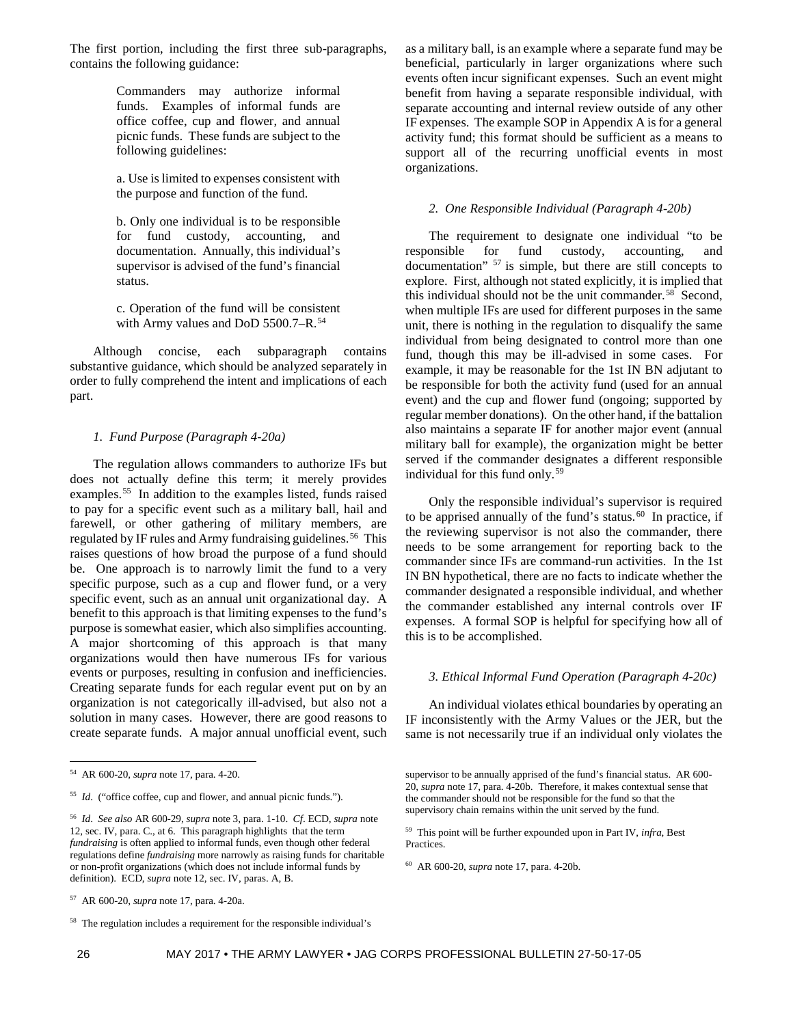The first portion, including the first three sub-paragraphs, contains the following guidance:

> Commanders may authorize informal funds. Examples of informal funds are office coffee, cup and flower, and annual picnic funds. These funds are subject to the following guidelines:

a. Use is limited to expenses consistent with the purpose and function of the fund.

b. Only one individual is to be responsible for fund custody, accounting, and documentation. Annually, this individual's supervisor is advised of the fund's financial status.

c. Operation of the fund will be consistent with Army values and DoD 5500.7–R.<sup>[54](#page-5-0)</sup>

Although concise, each subparagraph contains substantive guidance, which should be analyzed separately in order to fully comprehend the intent and implications of each part.

## *1. Fund Purpose (Paragraph 4-20a)*

The regulation allows commanders to authorize IFs but does not actually define this term; it merely provides examples. [55](#page-5-1) In addition to the examples listed, funds raised to pay for a specific event such as a military ball, hail and farewell, or other gathering of military members, are regulated by IF rules and Army fundraising guidelines.<sup>[56](#page-5-2)</sup> This raises questions of how broad the purpose of a fund should be. One approach is to narrowly limit the fund to a very specific purpose, such as a cup and flower fund, or a very specific event, such as an annual unit organizational day. A benefit to this approach is that limiting expenses to the fund's purpose is somewhat easier, which also simplifies accounting. A major shortcoming of this approach is that many organizations would then have numerous IFs for various events or purposes, resulting in confusion and inefficiencies. Creating separate funds for each regular event put on by an organization is not categorically ill-advised, but also not a solution in many cases. However, there are good reasons to create separate funds. A major annual unofficial event, such

as a military ball, is an example where a separate fund may be beneficial, particularly in larger organizations where such events often incur significant expenses. Such an event might benefit from having a separate responsible individual, with separate accounting and internal review outside of any other IF expenses. The example SOP in Appendix A is for a general activity fund; this format should be sufficient as a means to support all of the recurring unofficial events in most organizations.

### *2. One Responsible Individual (Paragraph 4-20b)*

The requirement to designate one individual "to be responsible for fund custody, accounting, and documentation" [57](#page-5-3) is simple, but there are still concepts to explore. First, although not stated explicitly, it is implied that this individual should not be the unit commander.[58](#page-5-4) Second, when multiple IFs are used for different purposes in the same unit, there is nothing in the regulation to disqualify the same individual from being designated to control more than one fund, though this may be ill-advised in some cases. For example, it may be reasonable for the 1st IN BN adjutant to be responsible for both the activity fund (used for an annual event) and the cup and flower fund (ongoing; supported by regular member donations). On the other hand, if the battalion also maintains a separate IF for another major event (annual military ball for example), the organization might be better served if the commander designates a different responsible individual for this fund only.[59](#page-5-5)

Only the responsible individual's supervisor is required to be apprised annually of the fund's status.<sup>[60](#page-5-6)</sup> In practice, if the reviewing supervisor is not also the commander, there needs to be some arrangement for reporting back to the commander since IFs are command-run activities. In the 1st IN BN hypothetical, there are no facts to indicate whether the commander designated a responsible individual, and whether the commander established any internal controls over IF expenses. A formal SOP is helpful for specifying how all of this is to be accomplished.

## *3. Ethical Informal Fund Operation (Paragraph 4-20c)*

An individual violates ethical boundaries by operating an IF inconsistently with the Army Values or the JER, but the same is not necessarily true if an individual only violates the

60 AR 600-20, *supra* note 17, para. 4-20b.

<span id="page-5-0"></span> <sup>54</sup> AR 600-20, *supra* note 17, para. 4-20.

<span id="page-5-1"></span><sup>&</sup>lt;sup>55</sup> *Id.* ("office coffee, cup and flower, and annual picnic funds.").

<span id="page-5-5"></span><span id="page-5-2"></span><sup>56</sup> *Id*. *See also* AR 600-29, *supra* note 3, para. 1-10. *Cf*. ECD, *supra* note 12, sec. IV, para. C., at 6. This paragraph highlights that the term *fundraising* is often applied to informal funds, even though other federal regulations define *fundraising* more narrowly as raising funds for charitable or non-profit organizations (which does not include informal funds by definition). ECD, *supra* note 12, sec. IV, paras. A, B.

<span id="page-5-6"></span><span id="page-5-3"></span><sup>57</sup> AR 600-20, *supra* note 17, para. 4-20a.

<span id="page-5-4"></span><sup>58</sup> The regulation includes a requirement for the responsible individual's

supervisor to be annually apprised of the fund's financial status. AR 600- 20, *supra* note 17, para. 4-20b. Therefore, it makes contextual sense that the commander should not be responsible for the fund so that the supervisory chain remains within the unit served by the fund.

<sup>59</sup> This point will be further expounded upon in Part IV, *infra*, Best Practices.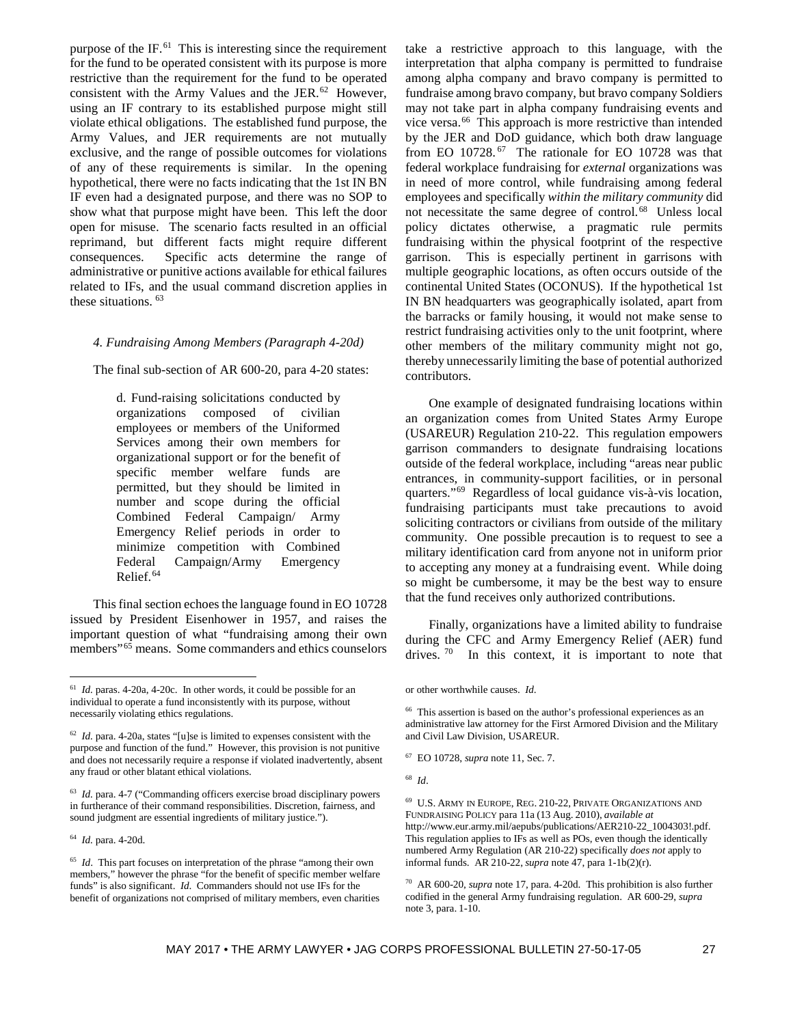purpose of the IF.<sup>61</sup> This is interesting since the requirement for the fund to be operated consistent with its purpose is more restrictive than the requirement for the fund to be operated consistent with the Army Values and the JER. $^{62}$  $^{62}$  $^{62}$  However, using an IF contrary to its established purpose might still violate ethical obligations. The established fund purpose, the Army Values, and JER requirements are not mutually exclusive, and the range of possible outcomes for violations of any of these requirements is similar. In the opening hypothetical, there were no facts indicating that the 1st IN BN IF even had a designated purpose, and there was no SOP to show what that purpose might have been. This left the door open for misuse. The scenario facts resulted in an official reprimand, but different facts might require different consequences. Specific acts determine the range of administrative or punitive actions available for ethical failures related to IFs, and the usual command discretion applies in these situations. [63](#page-6-2)

### *4. Fundraising Among Members (Paragraph 4-20d)*

The final sub-section of AR 600-20, para 4-20 states:

d. Fund-raising solicitations conducted by organizations composed of civilian employees or members of the Uniformed Services among their own members for organizational support or for the benefit of specific member welfare funds are permitted, but they should be limited in number and scope during the official Combined Federal Campaign/ Army Emergency Relief periods in order to minimize competition with Combined Federal Campaign/Army Emergency Relief.<sup>[64](#page-6-3)</sup>

This final section echoes the language found in EO 10728 issued by President Eisenhower in 1957, and raises the important question of what "fundraising among their own members"<sup>[65](#page-6-4)</sup> means. Some commanders and ethics counselors take a restrictive approach to this language, with the interpretation that alpha company is permitted to fundraise among alpha company and bravo company is permitted to fundraise among bravo company, but bravo company Soldiers may not take part in alpha company fundraising events and vice versa. [66](#page-6-5) This approach is more restrictive than intended by the JER and DoD guidance, which both draw language from EO 10728. [67](#page-6-6) The rationale for EO 10728 was that federal workplace fundraising for *external* organizations was in need of more control, while fundraising among federal employees and specifically *within the military community* did not necessitate the same degree of control. [68](#page-6-7) Unless local policy dictates otherwise, a pragmatic rule permits fundraising within the physical footprint of the respective garrison. This is especially pertinent in garrisons with multiple geographic locations, as often occurs outside of the continental United States (OCONUS). If the hypothetical 1st IN BN headquarters was geographically isolated, apart from the barracks or family housing, it would not make sense to restrict fundraising activities only to the unit footprint, where other members of the military community might not go, thereby unnecessarily limiting the base of potential authorized contributors.

One example of designated fundraising locations within an organization comes from United States Army Europe (USAREUR) Regulation 210-22. This regulation empowers garrison commanders to designate fundraising locations outside of the federal workplace, including "areas near public entrances, in community-support facilities, or in personal quarters."[69](#page-6-8) Regardless of local guidance vis-à-vis location, fundraising participants must take precautions to avoid soliciting contractors or civilians from outside of the military community. One possible precaution is to request to see a military identification card from anyone not in uniform prior to accepting any money at a fundraising event. While doing so might be cumbersome, it may be the best way to ensure that the fund receives only authorized contributions.

Finally, organizations have a limited ability to fundraise during the CFC and Army Emergency Relief (AER) fund drives.  $70$  In this context, it is important to note that

or other worthwhile causes. *Id*.

66 This assertion is based on the author's professional experiences as an administrative law attorney for the First Armored Division and the Military and Civil Law Division, USAREUR.

<span id="page-6-5"></span><span id="page-6-0"></span> <sup>61</sup> *Id.* paras. 4-20a, 4-20c. In other words, it could be possible for an individual to operate a fund inconsistently with its purpose, without necessarily violating ethics regulations.

<span id="page-6-6"></span><span id="page-6-1"></span><sup>62</sup> *Id.* para. 4-20a, states "[u]se is limited to expenses consistent with the purpose and function of the fund." However, this provision is not punitive and does not necessarily require a response if violated inadvertently, absent any fraud or other blatant ethical violations.

<span id="page-6-8"></span><span id="page-6-7"></span><span id="page-6-2"></span><sup>63</sup> *Id.* para. 4-7 ("Commanding officers exercise broad disciplinary powers in furtherance of their command responsibilities. Discretion, fairness, and sound judgment are essential ingredients of military justice.").

<span id="page-6-3"></span><sup>64</sup> *Id.* para. 4-20d.

<span id="page-6-9"></span><span id="page-6-4"></span><sup>&</sup>lt;sup>65</sup> *Id*. This part focuses on interpretation of the phrase "among their own members," however the phrase "for the benefit of specific member welfare funds" is also significant. *Id*. Commanders should not use IFs for the benefit of organizations not comprised of military members, even charities

<sup>67</sup> EO 10728, *supra* note 11, Sec. 7.

<sup>68</sup> *Id*.

<sup>69</sup> U.S. ARMY IN EUROPE, REG. 210-22, PRIVATE ORGANIZATIONS AND FUNDRAISING POLICY para 11a (13 Aug. 2010), *available at* http://www.eur.army.mil/aepubs/publications/AER210-22\_1004303!.pdf. This regulation applies to IFs as well as POs, even though the identically numbered Army Regulation (AR 210-22) specifically *does not* apply to informal funds. AR 210-22, *supra* note 47, para 1-1b(2)(r).

<sup>70</sup> AR 600-20, *supra* note 17, para. 4-20d. This prohibition is also further codified in the general Army fundraising regulation. AR 600-29, *supra* note 3, para. 1-10.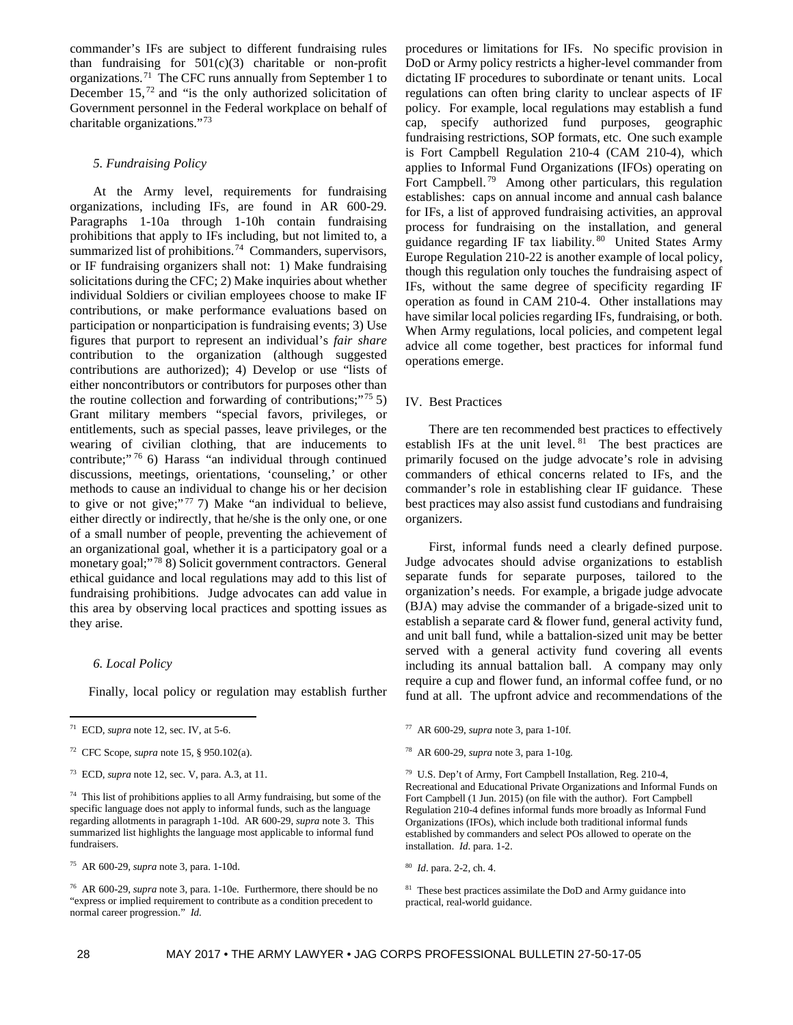commander's IFs are subject to different fundraising rules than fundraising for 501(c)(3) charitable or non-profit organizations.[71](#page-7-0) The CFC runs annually from September 1 to December  $15<sup>72</sup>$  $15<sup>72</sup>$  $15<sup>72</sup>$  and "is the only authorized solicitation of Government personnel in the Federal workplace on behalf of charitable organizations."[73](#page-7-2)

## *5. Fundraising Policy*

At the Army level, requirements for fundraising organizations, including IFs, are found in AR 600-29. Paragraphs 1-10a through 1-10h contain fundraising prohibitions that apply to IFs including, but not limited to, a summarized list of prohibitions.<sup>[74](#page-7-3)</sup> Commanders, supervisors, or IF fundraising organizers shall not: 1) Make fundraising solicitations during the CFC; 2) Make inquiries about whether individual Soldiers or civilian employees choose to make IF contributions, or make performance evaluations based on participation or nonparticipation is fundraising events; 3) Use figures that purport to represent an individual's *fair share* contribution to the organization (although suggested contributions are authorized); 4) Develop or use "lists of either noncontributors or contributors for purposes other than the routine collection and forwarding of contributions;" $75$  5) Grant military members "special favors, privileges, or entitlements, such as special passes, leave privileges, or the wearing of civilian clothing, that are inducements to contribute;" [76](#page-7-5) 6) Harass "an individual through continued discussions, meetings, orientations, 'counseling,' or other methods to cause an individual to change his or her decision to give or not give;" $77$  7) Make "an individual to believe, either directly or indirectly, that he/she is the only one, or one of a small number of people, preventing the achievement of an organizational goal, whether it is a participatory goal or a monetary goal;"[78](#page-7-1) 8) Solicit government contractors. General ethical guidance and local regulations may add to this list of fundraising prohibitions. Judge advocates can add value in this area by observing local practices and spotting issues as they arise.

## *6. Local Policy*

Finally, local policy or regulation may establish further

procedures or limitations for IFs. No specific provision in DoD or Army policy restricts a higher-level commander from dictating IF procedures to subordinate or tenant units. Local regulations can often bring clarity to unclear aspects of IF policy. For example, local regulations may establish a fund cap, specify authorized fund purposes, geographic fundraising restrictions, SOP formats, etc. One such example is Fort Campbell Regulation 210-4 (CAM 210-4), which applies to Informal Fund Organizations (IFOs) operating on Fort Campbell.<sup>[79](#page-7-2)</sup> Among other particulars, this regulation establishes: caps on annual income and annual cash balance for IFs, a list of approved fundraising activities, an approval process for fundraising on the installation, and general guidance regarding IF tax liability. [80](#page-7-6) United States Army Europe Regulation 210-22 is another example of local policy, though this regulation only touches the fundraising aspect of IFs, without the same degree of specificity regarding IF operation as found in CAM 210-4. Other installations may have similar local policies regarding IFs, fundraising, or both. When Army regulations, local policies, and competent legal advice all come together, best practices for informal fund operations emerge.

### IV. Best Practices

There are ten recommended best practices to effectively establish IFs at the unit level.  $81$  The best practices are primarily focused on the judge advocate's role in advising commanders of ethical concerns related to IFs, and the commander's role in establishing clear IF guidance. These best practices may also assist fund custodians and fundraising organizers.

First, informal funds need a clearly defined purpose. Judge advocates should advise organizations to establish separate funds for separate purposes, tailored to the organization's needs. For example, a brigade judge advocate (BJA) may advise the commander of a brigade-sized unit to establish a separate card & flower fund, general activity fund, and unit ball fund, while a battalion-sized unit may be better served with a general activity fund covering all events including its annual battalion ball. A company may only require a cup and flower fund, an informal coffee fund, or no fund at all. The upfront advice and recommendations of the

<span id="page-7-0"></span> <sup>71</sup> ECD, *supra* note 12, sec. IV, at 5-6.

<span id="page-7-1"></span><sup>72</sup> CFC Scope, *supra* note 15, § 950.102(a).

<span id="page-7-2"></span><sup>73</sup> ECD, *supra* note 12, sec. V, para. A.3, at 11.

<span id="page-7-3"></span><sup>74</sup> This list of prohibitions applies to all Army fundraising, but some of the specific language does not apply to informal funds, such as the language regarding allotments in paragraph 1-10d. AR 600-29, *supra* note 3. This summarized list highlights the language most applicable to informal fund fundraisers.

<span id="page-7-6"></span><span id="page-7-4"></span><sup>75</sup> AR 600-29, *supra* note 3, para. 1-10d.

<span id="page-7-7"></span><span id="page-7-5"></span><sup>76</sup> AR 600-29, *supra* note 3, para. 1-10e. Furthermore, there should be no "express or implied requirement to contribute as a condition precedent to normal career progression." *Id.*

<sup>77</sup> AR 600-29, *supra* note 3, para 1-10f.

<sup>78</sup> AR 600-29, *supra* note 3, para 1-10g.

<sup>79</sup> U.S. Dep't of Army, Fort Campbell Installation, Reg. 210-4, Recreational and Educational Private Organizations and Informal Funds on Fort Campbell (1 Jun. 2015) (on file with the author). Fort Campbell Regulation 210-4 defines informal funds more broadly as Informal Fund Organizations (IFOs), which include both traditional informal funds established by commanders and select POs allowed to operate on the installation. *Id*. para. 1-2.

<sup>80</sup> *Id*. para. 2-2, ch. 4.

<sup>&</sup>lt;sup>81</sup> These best practices assimilate the DoD and Army guidance into practical, real-world guidance.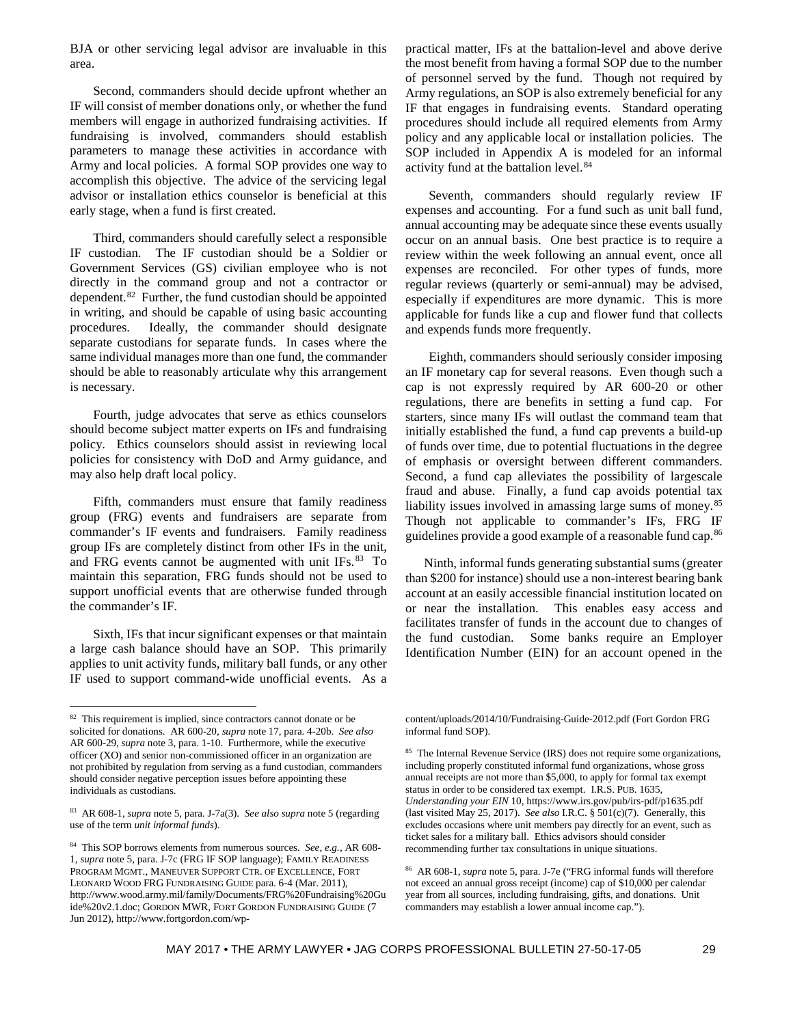BJA or other servicing legal advisor are invaluable in this area.

Second, commanders should decide upfront whether an IF will consist of member donations only, or whether the fund members will engage in authorized fundraising activities. If fundraising is involved, commanders should establish parameters to manage these activities in accordance with Army and local policies. A formal SOP provides one way to accomplish this objective. The advice of the servicing legal advisor or installation ethics counselor is beneficial at this early stage, when a fund is first created.

Third, commanders should carefully select a responsible IF custodian. The IF custodian should be a Soldier or Government Services (GS) civilian employee who is not directly in the command group and not a contractor or dependent.<sup>[82](#page-8-0)</sup> Further, the fund custodian should be appointed in writing, and should be capable of using basic accounting procedures. Ideally, the commander should designate separate custodians for separate funds. In cases where the same individual manages more than one fund, the commander should be able to reasonably articulate why this arrangement is necessary.

Fourth, judge advocates that serve as ethics counselors should become subject matter experts on IFs and fundraising policy. Ethics counselors should assist in reviewing local policies for consistency with DoD and Army guidance, and may also help draft local policy.

Fifth, commanders must ensure that family readiness group (FRG) events and fundraisers are separate from commander's IF events and fundraisers. Family readiness group IFs are completely distinct from other IFs in the unit, and FRG events cannot be augmented with unit IFs.<sup>[83](#page-8-1)</sup> To maintain this separation, FRG funds should not be used to support unofficial events that are otherwise funded through the commander's IF.

Sixth, IFs that incur significant expenses or that maintain a large cash balance should have an SOP. This primarily applies to unit activity funds, military ball funds, or any other IF used to support command-wide unofficial events. As a

practical matter, IFs at the battalion-level and above derive the most benefit from having a formal SOP due to the number of personnel served by the fund. Though not required by Army regulations, an SOP is also extremely beneficial for any IF that engages in fundraising events. Standard operating procedures should include all required elements from Army policy and any applicable local or installation policies. The SOP included in Appendix A is modeled for an informal activity fund at the battalion level.<sup>[84](#page-8-2)</sup>

Seventh, commanders should regularly review IF expenses and accounting. For a fund such as unit ball fund, annual accounting may be adequate since these events usually occur on an annual basis. One best practice is to require a review within the week following an annual event, once all expenses are reconciled. For other types of funds, more regular reviews (quarterly or semi-annual) may be advised, especially if expenditures are more dynamic. This is more applicable for funds like a cup and flower fund that collects and expends funds more frequently.

Eighth, commanders should seriously consider imposing an IF monetary cap for several reasons. Even though such a cap is not expressly required by AR 600-20 or other regulations, there are benefits in setting a fund cap. For starters, since many IFs will outlast the command team that initially established the fund, a fund cap prevents a build-up of funds over time, due to potential fluctuations in the degree of emphasis or oversight between different commanders. Second, a fund cap alleviates the possibility of largescale fraud and abuse. Finally, a fund cap avoids potential tax liability issues involved in amassing large sums of money.[85](#page-8-3) Though not applicable to commander's IFs, FRG IF guidelines provide a good example of a reasonable fund cap.<sup>[86](#page-8-4)</sup>

Ninth, informal funds generating substantial sums (greater than \$200 for instance) should use a non-interest bearing bank account at an easily accessible financial institution located on or near the installation. This enables easy access and facilitates transfer of funds in the account due to changes of the fund custodian. Some banks require an Employer Identification Number (EIN) for an account opened in the

<span id="page-8-3"></span><span id="page-8-0"></span><sup>&</sup>lt;sup>82</sup> This requirement is implied, since contractors cannot donate or be solicited for donations. AR 600-20, *supra* note 17, para. 4-20b. *See also* AR 600-29, *supra* note 3, para. 1-10. Furthermore, while the executive officer (XO) and senior non-commissioned officer in an organization are not prohibited by regulation from serving as a fund custodian, commanders should consider negative perception issues before appointing these individuals as custodians.

<span id="page-8-1"></span><sup>83</sup> AR 608-1, *supra* note 5, para. J-7a(3). *See also supra* note 5 (regarding use of the term *unit informal funds*).

<span id="page-8-4"></span><span id="page-8-2"></span><sup>84</sup> This SOP borrows elements from numerous sources. *See, e.g.*, AR 608- 1, *supra* note 5, para. J-7c (FRG IF SOP language); FAMILY READINESS PROGRAM MGMT., MANEUVER SUPPORT CTR. OF EXCELLENCE, FORT LEONARD WOOD FRG FUNDRAISING GUIDE para. 6-4 (Mar. 2011), http://www.wood.army.mil/family/Documents/FRG%20Fundraising%20Gu ide%20v2.1.doc; GORDON MWR, FORT GORDON FUNDRAISING GUIDE (7 Jun 2012), http://www.fortgordon.com/wp-

content/uploads/2014/10/Fundraising-Guide-2012.pdf (Fort Gordon FRG informal fund SOP).

<sup>&</sup>lt;sup>85</sup> The Internal Revenue Service (IRS) does not require some organizations, including properly constituted informal fund organizations, whose gross annual receipts are not more than \$5,000, to apply for formal tax exempt status in order to be considered tax exempt. I.R.S. PUB. 1635, *Understanding your EIN* 10, https://www.irs.gov/pub/irs-pdf/p1635.pdf (last visited May 25, 2017). *See also* I.R.C. § 501(c)(7). Generally, this excludes occasions where unit members pay directly for an event, such as ticket sales for a military ball. Ethics advisors should consider recommending further tax consultations in unique situations.

<sup>86</sup> AR 608-1, *supra* note 5, para. J-7e ("FRG informal funds will therefore not exceed an annual gross receipt (income) cap of \$10,000 per calendar year from all sources, including fundraising, gifts, and donations. Unit commanders may establish a lower annual income cap.").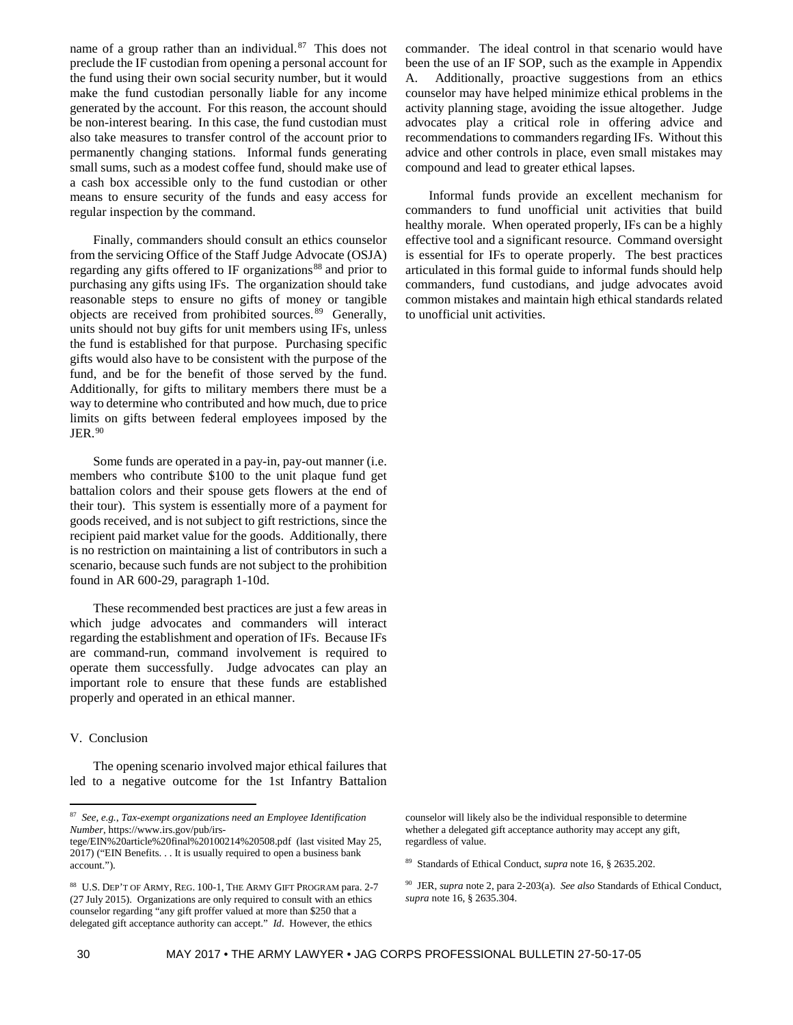name of a group rather than an individual.<sup>[87](#page-9-0)</sup> This does not preclude the IF custodian from opening a personal account for the fund using their own social security number, but it would make the fund custodian personally liable for any income generated by the account. For this reason, the account should be non-interest bearing. In this case, the fund custodian must also take measures to transfer control of the account prior to permanently changing stations. Informal funds generating small sums, such as a modest coffee fund, should make use of a cash box accessible only to the fund custodian or other means to ensure security of the funds and easy access for regular inspection by the command.

Finally, commanders should consult an ethics counselor from the servicing Office of the Staff Judge Advocate (OSJA) regarding any gifts offered to IF organizations<sup>[88](#page-9-1)</sup> and prior to purchasing any gifts using IFs. The organization should take reasonable steps to ensure no gifts of money or tangible objects are received from prohibited sources. [89](#page-9-2) Generally, units should not buy gifts for unit members using IFs, unless the fund is established for that purpose. Purchasing specific gifts would also have to be consistent with the purpose of the fund, and be for the benefit of those served by the fund. Additionally, for gifts to military members there must be a way to determine who contributed and how much, due to price limits on gifts between federal employees imposed by the JER.[90](#page-9-1)

Some funds are operated in a pay-in, pay-out manner (i.e. members who contribute \$100 to the unit plaque fund get battalion colors and their spouse gets flowers at the end of their tour). This system is essentially more of a payment for goods received, and is not subject to gift restrictions, since the recipient paid market value for the goods. Additionally, there is no restriction on maintaining a list of contributors in such a scenario, because such funds are not subject to the prohibition found in AR 600-29, paragraph 1-10d.

These recommended best practices are just a few areas in which judge advocates and commanders will interact regarding the establishment and operation of IFs. Because IFs are command-run, command involvement is required to operate them successfully. Judge advocates can play an important role to ensure that these funds are established properly and operated in an ethical manner.

## V. Conclusion

The opening scenario involved major ethical failures that led to a negative outcome for the 1st Infantry Battalion commander. The ideal control in that scenario would have been the use of an IF SOP, such as the example in Appendix A. Additionally, proactive suggestions from an ethics counselor may have helped minimize ethical problems in the activity planning stage, avoiding the issue altogether. Judge advocates play a critical role in offering advice and recommendations to commanders regarding IFs. Without this advice and other controls in place, even small mistakes may compound and lead to greater ethical lapses.

Informal funds provide an excellent mechanism for commanders to fund unofficial unit activities that build healthy morale. When operated properly, IFs can be a highly effective tool and a significant resource. Command oversight is essential for IFs to operate properly. The best practices articulated in this formal guide to informal funds should help commanders, fund custodians, and judge advocates avoid common mistakes and maintain high ethical standards related to unofficial unit activities.

counselor will likely also be the individual responsible to determine whether a delegated gift acceptance authority may accept any gift, regardless of value.

89 Standards of Ethical Conduct, *supra* note 16, § 2635.202.

<span id="page-9-0"></span> <sup>87</sup> *See, e.g.*, *Tax-exempt organizations need an Employee Identification Number*, https://www.irs.gov/pub/irs-

<span id="page-9-2"></span>tege/EIN%20article%20final%20100214%20508.pdf (last visited May 25, 2017) ("EIN Benefits. . . It is usually required to open a business bank account.").

<span id="page-9-1"></span><sup>88</sup> U.S. DEP'T OF ARMY, REG. 100-1, THE ARMY GIFT PROGRAM para. 2-7 (27 July 2015). Organizations are only required to consult with an ethics counselor regarding "any gift proffer valued at more than \$250 that a delegated gift acceptance authority can accept." *Id*. However, the ethics

<sup>90</sup> JER, *supra* note 2, para 2-203(a). *See also* Standards of Ethical Conduct, *supra* note 16, § 2635.304.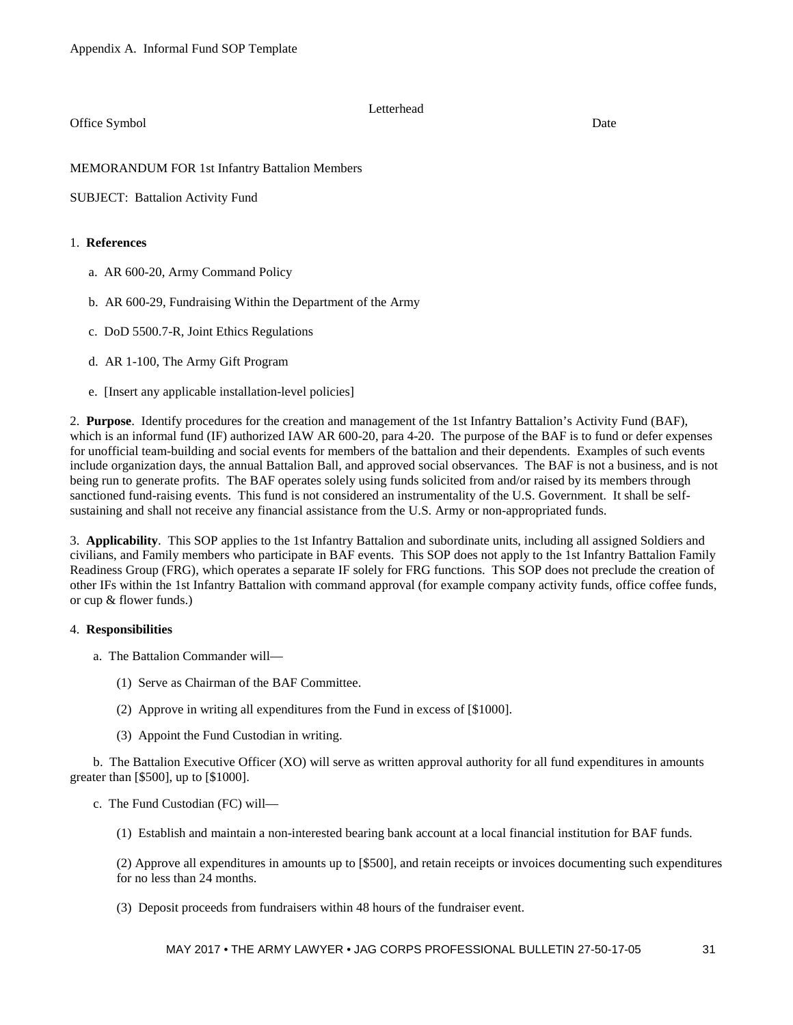## Letterhead

Office Symbol Date

MEMORANDUM FOR 1st Infantry Battalion Members

SUBJECT: Battalion Activity Fund

## 1. **References**

- a. AR 600-20, Army Command Policy
- b. AR 600-29, Fundraising Within the Department of the Army
- c. DoD 5500.7-R, Joint Ethics Regulations
- d. AR 1-100, The Army Gift Program
- e. [Insert any applicable installation-level policies]

2. **Purpose**. Identify procedures for the creation and management of the 1st Infantry Battalion's Activity Fund (BAF), which is an informal fund (IF) authorized IAW AR 600-20, para 4-20. The purpose of the BAF is to fund or defer expenses for unofficial team-building and social events for members of the battalion and their dependents. Examples of such events include organization days, the annual Battalion Ball, and approved social observances. The BAF is not a business, and is not being run to generate profits. The BAF operates solely using funds solicited from and/or raised by its members through sanctioned fund-raising events. This fund is not considered an instrumentality of the U.S. Government. It shall be selfsustaining and shall not receive any financial assistance from the U.S. Army or non-appropriated funds.

3. **Applicability**. This SOP applies to the 1st Infantry Battalion and subordinate units, including all assigned Soldiers and civilians, and Family members who participate in BAF events. This SOP does not apply to the 1st Infantry Battalion Family Readiness Group (FRG), which operates a separate IF solely for FRG functions. This SOP does not preclude the creation of other IFs within the 1st Infantry Battalion with command approval (for example company activity funds, office coffee funds, or cup & flower funds.)

# 4. **Responsibilities**

- a. The Battalion Commander will—
	- (1) Serve as Chairman of the BAF Committee.
	- (2) Approve in writing all expenditures from the Fund in excess of [\$1000].
	- (3) Appoint the Fund Custodian in writing.

b. The Battalion Executive Officer (XO) will serve as written approval authority for all fund expenditures in amounts greater than [\$500], up to [\$1000].

- c. The Fund Custodian (FC) will—
	- (1) Establish and maintain a non-interested bearing bank account at a local financial institution for BAF funds.

(2) Approve all expenditures in amounts up to [\$500], and retain receipts or invoices documenting such expenditures for no less than 24 months.

(3) Deposit proceeds from fundraisers within 48 hours of the fundraiser event.

MAY 2017 • THE ARMY LAWYER • JAG CORPS PROFESSIONAL BULLETIN 27-50-17-05 31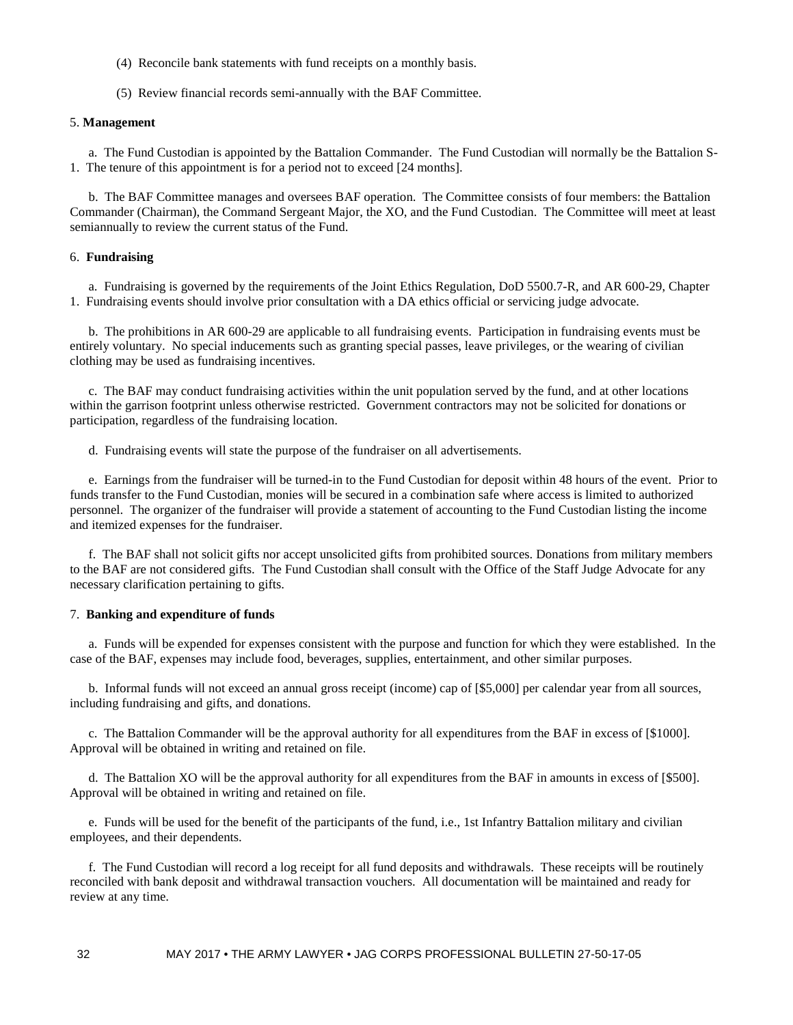- (4) Reconcile bank statements with fund receipts on a monthly basis.
- (5) Review financial records semi-annually with the BAF Committee.

### 5. **Management**

a. The Fund Custodian is appointed by the Battalion Commander. The Fund Custodian will normally be the Battalion S-1. The tenure of this appointment is for a period not to exceed [24 months].

b. The BAF Committee manages and oversees BAF operation. The Committee consists of four members: the Battalion Commander (Chairman), the Command Sergeant Major, the XO, and the Fund Custodian. The Committee will meet at least semiannually to review the current status of the Fund.

## 6. **Fundraising**

a. Fundraising is governed by the requirements of the Joint Ethics Regulation, DoD 5500.7-R, and AR 600-29, Chapter 1. Fundraising events should involve prior consultation with a DA ethics official or servicing judge advocate.

b. The prohibitions in AR 600-29 are applicable to all fundraising events. Participation in fundraising events must be entirely voluntary. No special inducements such as granting special passes, leave privileges, or the wearing of civilian clothing may be used as fundraising incentives.

c. The BAF may conduct fundraising activities within the unit population served by the fund, and at other locations within the garrison footprint unless otherwise restricted. Government contractors may not be solicited for donations or participation, regardless of the fundraising location.

d. Fundraising events will state the purpose of the fundraiser on all advertisements.

e. Earnings from the fundraiser will be turned-in to the Fund Custodian for deposit within 48 hours of the event. Prior to funds transfer to the Fund Custodian, monies will be secured in a combination safe where access is limited to authorized personnel. The organizer of the fundraiser will provide a statement of accounting to the Fund Custodian listing the income and itemized expenses for the fundraiser.

f. The BAF shall not solicit gifts nor accept unsolicited gifts from prohibited sources. Donations from military members to the BAF are not considered gifts. The Fund Custodian shall consult with the Office of the Staff Judge Advocate for any necessary clarification pertaining to gifts.

#### 7. **Banking and expenditure of funds**

a. Funds will be expended for expenses consistent with the purpose and function for which they were established. In the case of the BAF, expenses may include food, beverages, supplies, entertainment, and other similar purposes.

b. Informal funds will not exceed an annual gross receipt (income) cap of [\$5,000] per calendar year from all sources, including fundraising and gifts, and donations.

c. The Battalion Commander will be the approval authority for all expenditures from the BAF in excess of [\$1000]. Approval will be obtained in writing and retained on file.

d. The Battalion XO will be the approval authority for all expenditures from the BAF in amounts in excess of [\$500]. Approval will be obtained in writing and retained on file.

e. Funds will be used for the benefit of the participants of the fund, i.e., 1st Infantry Battalion military and civilian employees, and their dependents.

f. The Fund Custodian will record a log receipt for all fund deposits and withdrawals. These receipts will be routinely reconciled with bank deposit and withdrawal transaction vouchers. All documentation will be maintained and ready for review at any time.